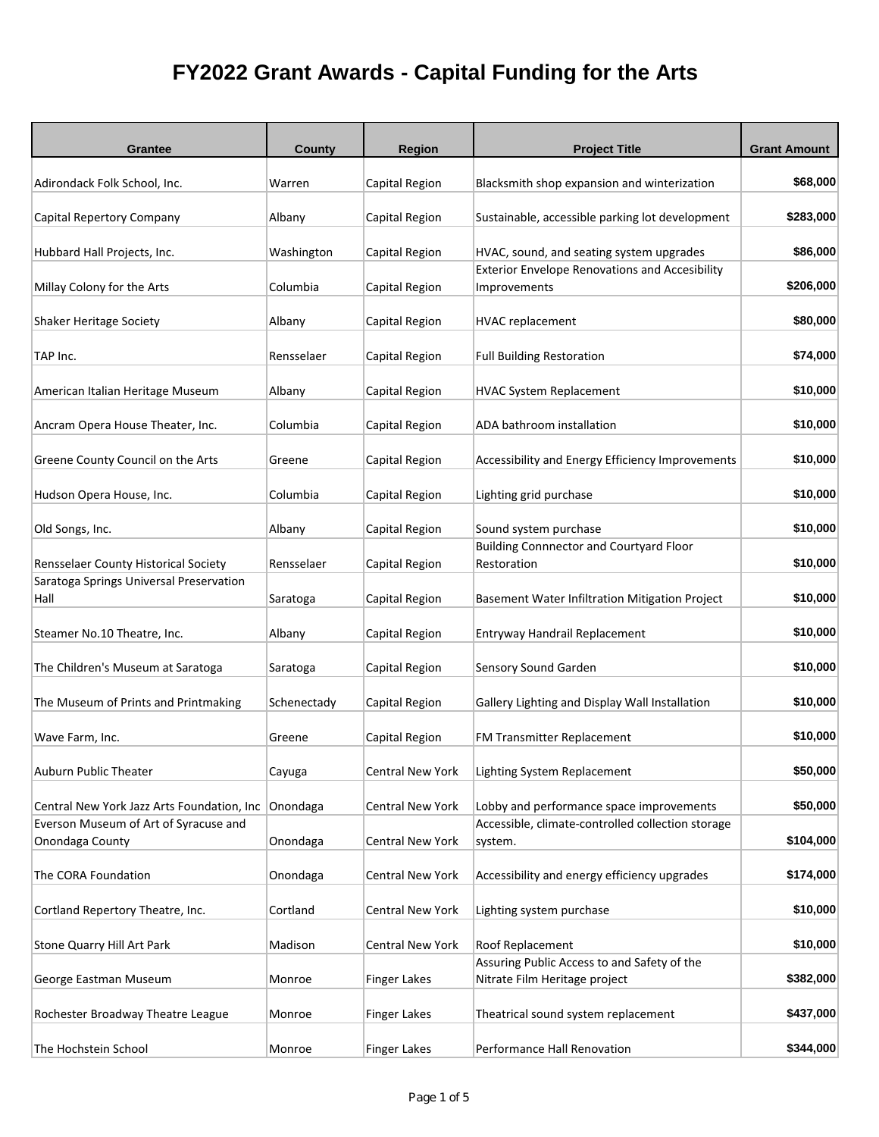| <b>Grantee</b>                                           | County      | <b>Region</b>           | <b>Project Title</b>                                                         | <b>Grant Amount</b> |
|----------------------------------------------------------|-------------|-------------------------|------------------------------------------------------------------------------|---------------------|
| Adirondack Folk School, Inc.                             | Warren      | Capital Region          | Blacksmith shop expansion and winterization                                  | \$68,000            |
| Capital Repertory Company                                | Albany      | Capital Region          | Sustainable, accessible parking lot development                              | \$283,000           |
| Hubbard Hall Projects, Inc.                              | Washington  | Capital Region          | HVAC, sound, and seating system upgrades                                     | \$86,000            |
| Millay Colony for the Arts                               | Columbia    | Capital Region          | <b>Exterior Envelope Renovations and Accesibility</b><br>Improvements        | \$206,000           |
| Shaker Heritage Society                                  | Albany      | Capital Region          | <b>HVAC replacement</b>                                                      | \$80,000            |
| TAP Inc.                                                 | Rensselaer  | Capital Region          | <b>Full Building Restoration</b>                                             | \$74,000            |
| American Italian Heritage Museum                         | Albany      | Capital Region          | <b>HVAC System Replacement</b>                                               | \$10,000            |
| Ancram Opera House Theater, Inc.                         | Columbia    | Capital Region          | ADA bathroom installation                                                    | \$10,000            |
| Greene County Council on the Arts                        | Greene      | Capital Region          | Accessibility and Energy Efficiency Improvements                             | \$10,000            |
| Hudson Opera House, Inc.                                 | Columbia    | Capital Region          | Lighting grid purchase                                                       | \$10,000            |
| Old Songs, Inc.                                          | Albany      | Capital Region          | Sound system purchase                                                        | \$10,000            |
| Rensselaer County Historical Society                     | Rensselaer  | Capital Region          | <b>Building Connnector and Courtyard Floor</b><br>Restoration                | \$10,000            |
| Saratoga Springs Universal Preservation<br>Hall          | Saratoga    | Capital Region          | Basement Water Infiltration Mitigation Project                               | \$10,000            |
| Steamer No.10 Theatre, Inc.                              | Albany      | Capital Region          | Entryway Handrail Replacement                                                | \$10,000            |
| The Children's Museum at Saratoga                        | Saratoga    | Capital Region          | Sensory Sound Garden                                                         | \$10,000            |
| The Museum of Prints and Printmaking                     | Schenectady | Capital Region          | Gallery Lighting and Display Wall Installation                               | \$10,000            |
| Wave Farm, Inc.                                          | Greene      | Capital Region          | FM Transmitter Replacement                                                   | \$10,000            |
| Auburn Public Theater                                    | Cayuga      | Central New York        | Lighting System Replacement                                                  | \$50,000            |
| Central New York Jazz Arts Foundation, Inc Onondaga      |             | <b>Central New York</b> | Lobby and performance space improvements                                     | \$50,000            |
| Everson Museum of Art of Syracuse and<br>Onondaga County | Onondaga    | Central New York        | Accessible, climate-controlled collection storage<br>system.                 | \$104,000           |
| The CORA Foundation                                      | Onondaga    | Central New York        | Accessibility and energy efficiency upgrades                                 | \$174,000           |
| Cortland Repertory Theatre, Inc.                         | Cortland    | Central New York        | Lighting system purchase                                                     | \$10,000            |
| Stone Quarry Hill Art Park                               | Madison     | Central New York        | Roof Replacement                                                             | \$10,000            |
| George Eastman Museum                                    | Monroe      | <b>Finger Lakes</b>     | Assuring Public Access to and Safety of the<br>Nitrate Film Heritage project | \$382,000           |
| Rochester Broadway Theatre League                        | Monroe      | <b>Finger Lakes</b>     | Theatrical sound system replacement                                          | \$437,000           |
| The Hochstein School                                     | Monroe      | <b>Finger Lakes</b>     | Performance Hall Renovation                                                  | \$344,000           |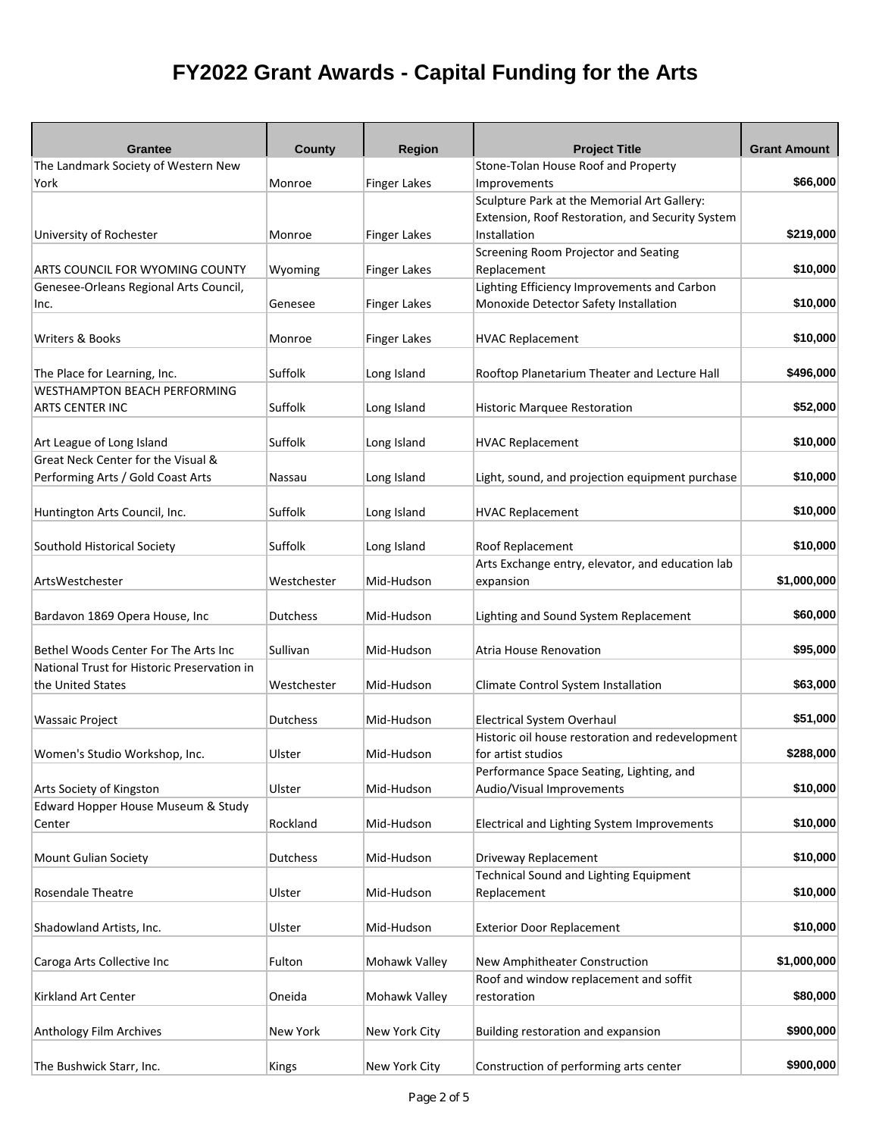| Grantee<br>The Landmark Society of Western New                  | County      | <b>Region</b>       | <b>Project Title</b><br>Stone-Tolan House Roof and Property           | <b>Grant Amount</b> |
|-----------------------------------------------------------------|-------------|---------------------|-----------------------------------------------------------------------|---------------------|
| York                                                            | Monroe      | <b>Finger Lakes</b> | Improvements                                                          | \$66,000            |
|                                                                 |             |                     | Sculpture Park at the Memorial Art Gallery:                           |                     |
|                                                                 |             |                     | Extension, Roof Restoration, and Security System                      |                     |
| University of Rochester                                         | Monroe      | <b>Finger Lakes</b> | Installation                                                          | \$219,000           |
|                                                                 |             |                     | Screening Room Projector and Seating                                  |                     |
| ARTS COUNCIL FOR WYOMING COUNTY                                 | Wyoming     | <b>Finger Lakes</b> | Replacement                                                           | \$10,000            |
| Genesee-Orleans Regional Arts Council,                          |             |                     | Lighting Efficiency Improvements and Carbon                           |                     |
| Inc.                                                            | Genesee     | <b>Finger Lakes</b> | Monoxide Detector Safety Installation                                 | \$10,000            |
|                                                                 |             |                     |                                                                       |                     |
| Writers & Books                                                 | Monroe      | <b>Finger Lakes</b> | <b>HVAC Replacement</b>                                               | \$10,000            |
|                                                                 |             |                     |                                                                       |                     |
| The Place for Learning, Inc.                                    | Suffolk     | Long Island         | Rooftop Planetarium Theater and Lecture Hall                          | \$496,000           |
| <b>WESTHAMPTON BEACH PERFORMING</b>                             |             |                     |                                                                       |                     |
| <b>ARTS CENTER INC</b>                                          | Suffolk     | Long Island         | <b>Historic Marquee Restoration</b>                                   | \$52,000            |
|                                                                 | Suffolk     |                     |                                                                       | \$10,000            |
| Art League of Long Island<br>Great Neck Center for the Visual & |             | Long Island         | <b>HVAC Replacement</b>                                               |                     |
| Performing Arts / Gold Coast Arts                               |             | Long Island         | Light, sound, and projection equipment purchase                       | \$10,000            |
|                                                                 | Nassau      |                     |                                                                       |                     |
| Huntington Arts Council, Inc.                                   | Suffolk     | Long Island         | <b>HVAC Replacement</b>                                               | \$10,000            |
|                                                                 |             |                     |                                                                       |                     |
| Southold Historical Society                                     | Suffolk     | Long Island         | Roof Replacement                                                      | \$10,000            |
|                                                                 |             |                     | Arts Exchange entry, elevator, and education lab                      |                     |
| ArtsWestchester                                                 | Westchester | Mid-Hudson          | expansion                                                             | \$1,000,000         |
|                                                                 |             |                     |                                                                       |                     |
| Bardavon 1869 Opera House, Inc                                  | Dutchess    | Mid-Hudson          | Lighting and Sound System Replacement                                 | \$60,000            |
|                                                                 |             |                     |                                                                       |                     |
| Bethel Woods Center For The Arts Inc                            | Sullivan    | Mid-Hudson          | Atria House Renovation                                                | \$95,000            |
| National Trust for Historic Preservation in                     |             |                     |                                                                       |                     |
| the United States                                               | Westchester | Mid-Hudson          | Climate Control System Installation                                   | \$63,000            |
|                                                                 |             |                     |                                                                       |                     |
| <b>Wassaic Project</b>                                          | Dutchess    | Mid-Hudson          | Electrical System Overhaul                                            | \$51,000            |
|                                                                 |             |                     | Historic oil house restoration and redevelopment                      |                     |
| Women's Studio Workshop, Inc.                                   | Ulster      | Mid-Hudson          | for artist studios                                                    | \$288,000           |
|                                                                 | Ulster      | Mid-Hudson          | Performance Space Seating, Lighting, and<br>Audio/Visual Improvements | \$10,000            |
| Arts Society of Kingston<br>Edward Hopper House Museum & Study  |             |                     |                                                                       |                     |
| Center                                                          | Rockland    | Mid-Hudson          | Electrical and Lighting System Improvements                           | \$10,000            |
|                                                                 |             |                     |                                                                       |                     |
| Mount Gulian Society                                            | Dutchess    | Mid-Hudson          | Driveway Replacement                                                  | \$10,000            |
|                                                                 |             |                     | <b>Technical Sound and Lighting Equipment</b>                         |                     |
| Rosendale Theatre                                               | Ulster      | Mid-Hudson          | Replacement                                                           | \$10,000            |
|                                                                 |             |                     |                                                                       |                     |
| Shadowland Artists, Inc.                                        | Ulster      | Mid-Hudson          | <b>Exterior Door Replacement</b>                                      | \$10,000            |
|                                                                 |             |                     |                                                                       |                     |
| Caroga Arts Collective Inc                                      | Fulton      | Mohawk Valley       | New Amphitheater Construction                                         | \$1,000,000         |
|                                                                 |             |                     | Roof and window replacement and soffit                                |                     |
| Kirkland Art Center                                             | Oneida      | Mohawk Valley       | restoration                                                           | \$80,000            |
|                                                                 |             |                     |                                                                       |                     |
| Anthology Film Archives                                         | New York    | New York City       | Building restoration and expansion                                    | \$900,000           |
|                                                                 |             |                     |                                                                       |                     |
| The Bushwick Starr, Inc.                                        | Kings       | New York City       | Construction of performing arts center                                | \$900,000           |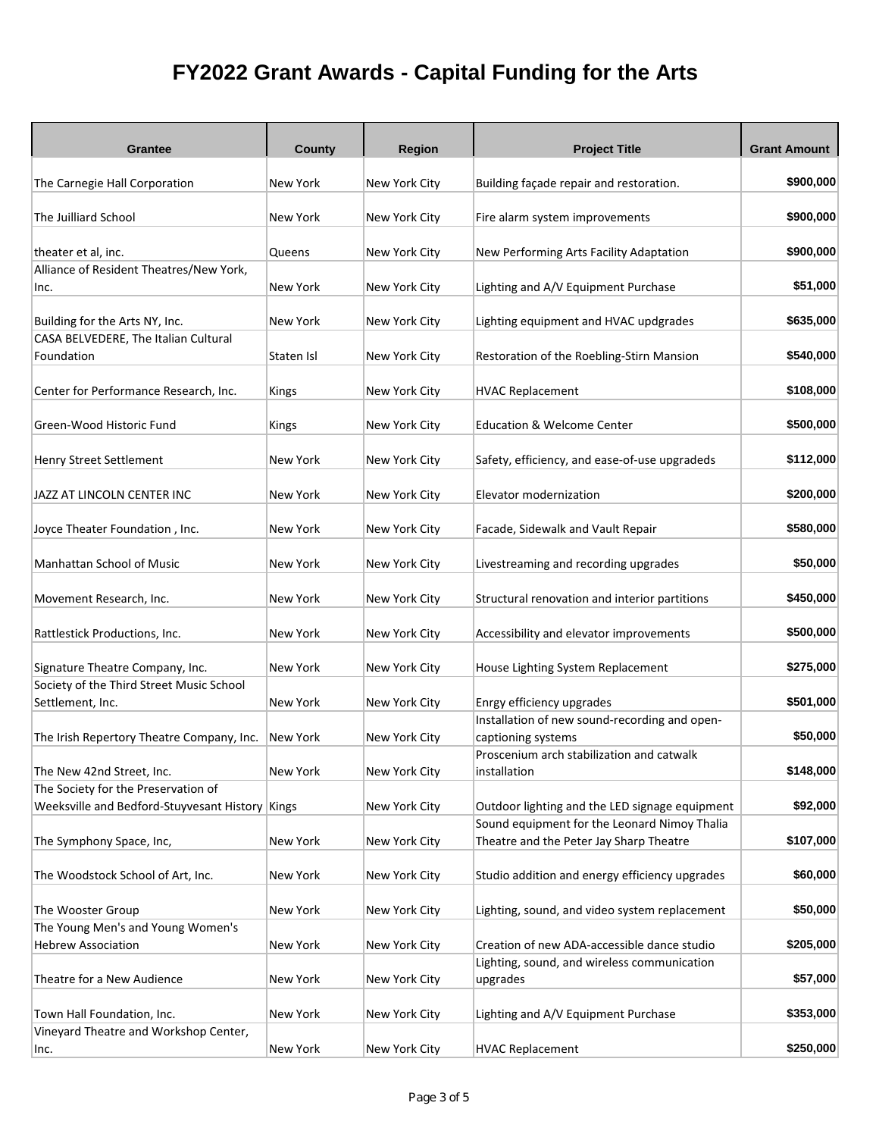| Grantee                                         | <b>County</b> | <b>Region</b> | <b>Project Title</b>                                                                    | <b>Grant Amount</b> |
|-------------------------------------------------|---------------|---------------|-----------------------------------------------------------------------------------------|---------------------|
| The Carnegie Hall Corporation                   | New York      | New York City | Building façade repair and restoration.                                                 | \$900,000           |
| The Juilliard School                            | New York      | New York City | Fire alarm system improvements                                                          | \$900,000           |
| theater et al, inc.                             | Queens        | New York City | New Performing Arts Facility Adaptation                                                 | \$900,000           |
| Alliance of Resident Theatres/New York,         | New York      |               |                                                                                         | \$51,000            |
| Inc.                                            |               | New York City | Lighting and A/V Equipment Purchase                                                     |                     |
| Building for the Arts NY, Inc.                  | New York      | New York City | Lighting equipment and HVAC updgrades                                                   | \$635,000           |
| CASA BELVEDERE, The Italian Cultural            |               |               |                                                                                         |                     |
| Foundation                                      | Staten Isl    | New York City | Restoration of the Roebling-Stirn Mansion                                               | \$540,000           |
| Center for Performance Research, Inc.           | Kings         | New York City | <b>HVAC Replacement</b>                                                                 | \$108,000           |
| Green-Wood Historic Fund                        | Kings         | New York City | <b>Education &amp; Welcome Center</b>                                                   | \$500,000           |
| <b>Henry Street Settlement</b>                  | New York      | New York City | Safety, efficiency, and ease-of-use upgradeds                                           | \$112,000           |
| JAZZ AT LINCOLN CENTER INC                      | New York      | New York City | Elevator modernization                                                                  | \$200,000           |
| Joyce Theater Foundation, Inc.                  | New York      | New York City | Facade, Sidewalk and Vault Repair                                                       | \$580,000           |
| Manhattan School of Music                       | New York      | New York City | Livestreaming and recording upgrades                                                    | \$50,000            |
| Movement Research, Inc.                         | New York      | New York City | Structural renovation and interior partitions                                           | \$450,000           |
| Rattlestick Productions, Inc.                   | New York      | New York City | Accessibility and elevator improvements                                                 | \$500,000           |
| Signature Theatre Company, Inc.                 | New York      | New York City | House Lighting System Replacement                                                       | \$275,000           |
| Society of the Third Street Music School        | New York      |               |                                                                                         | \$501,000           |
| Settlement, Inc.                                |               | New York City | Enrgy efficiency upgrades<br>Installation of new sound-recording and open-              |                     |
| The Irish Repertory Theatre Company, Inc.       | New York      | New York City | captioning systems                                                                      | \$50,000            |
|                                                 |               |               | Proscenium arch stabilization and catwalk                                               |                     |
| The New 42nd Street, Inc.                       | New York      | New York City | installation                                                                            | \$148,000           |
| The Society for the Preservation of             |               |               |                                                                                         |                     |
| Weeksville and Bedford-Stuyvesant History Kings |               | New York City | Outdoor lighting and the LED signage equipment                                          | \$92,000            |
| The Symphony Space, Inc,                        | New York      | New York City | Sound equipment for the Leonard Nimoy Thalia<br>Theatre and the Peter Jay Sharp Theatre | \$107,000           |
| The Woodstock School of Art, Inc.               | New York      | New York City | Studio addition and energy efficiency upgrades                                          | \$60,000            |
| The Wooster Group                               | New York      | New York City | Lighting, sound, and video system replacement                                           | \$50,000            |
| The Young Men's and Young Women's               |               |               |                                                                                         |                     |
| <b>Hebrew Association</b>                       | New York      | New York City | Creation of new ADA-accessible dance studio                                             | \$205,000           |
| Theatre for a New Audience                      | New York      | New York City | Lighting, sound, and wireless communication<br>upgrades                                 | \$57,000            |
| Town Hall Foundation, Inc.                      | New York      | New York City | Lighting and A/V Equipment Purchase                                                     | \$353,000           |
| Vineyard Theatre and Workshop Center,           |               |               |                                                                                         |                     |
| Inc.                                            | New York      | New York City | <b>HVAC Replacement</b>                                                                 | \$250,000           |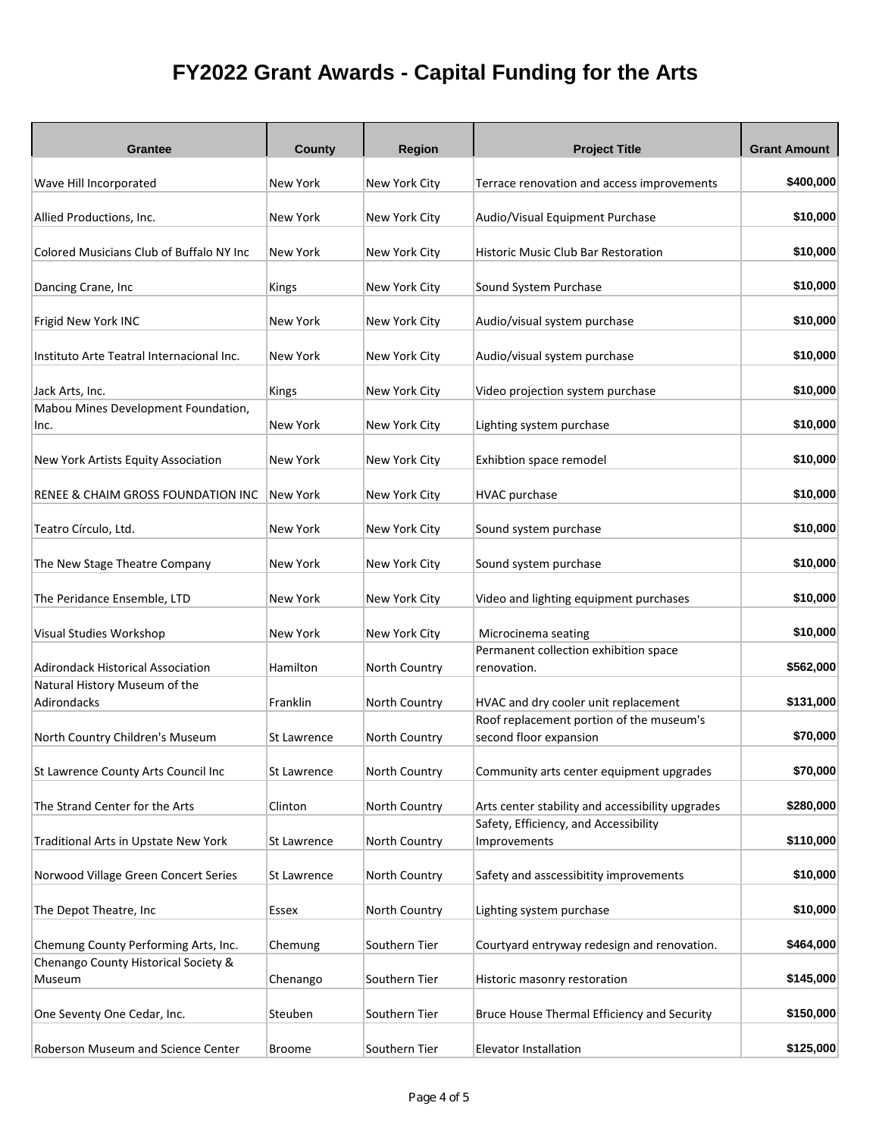| Grantee                                      | <b>County</b> | <b>Region</b> | <b>Project Title</b>                                  | <b>Grant Amount</b> |
|----------------------------------------------|---------------|---------------|-------------------------------------------------------|---------------------|
| Wave Hill Incorporated                       | New York      | New York City | Terrace renovation and access improvements            | \$400,000           |
| Allied Productions, Inc.                     | New York      | New York City | Audio/Visual Equipment Purchase                       | \$10,000            |
|                                              |               |               |                                                       |                     |
| Colored Musicians Club of Buffalo NY Inc     | New York      | New York City | <b>Historic Music Club Bar Restoration</b>            | \$10,000            |
| Dancing Crane, Inc                           | Kings         | New York City | Sound System Purchase                                 | \$10,000            |
| Frigid New York INC                          | New York      | New York City | Audio/visual system purchase                          | \$10,000            |
| Instituto Arte Teatral Internacional Inc.    | New York      | New York City | Audio/visual system purchase                          | \$10,000            |
| Jack Arts, Inc.                              | Kings         | New York City | Video projection system purchase                      | \$10,000            |
| Mabou Mines Development Foundation,<br>Inc.  | New York      | New York City | Lighting system purchase                              | \$10,000            |
| New York Artists Equity Association          | New York      | New York City | Exhibtion space remodel                               | \$10,000            |
| RENEE & CHAIM GROSS FOUNDATION INC           | New York      | New York City | HVAC purchase                                         | \$10,000            |
| Teatro Círculo, Ltd.                         | New York      | New York City | Sound system purchase                                 | \$10,000            |
| The New Stage Theatre Company                | New York      | New York City | Sound system purchase                                 | \$10,000            |
| The Peridance Ensemble, LTD                  | New York      | New York City | Video and lighting equipment purchases                | \$10,000            |
| Visual Studies Workshop                      | New York      | New York City | Microcinema seating                                   | \$10,000            |
| Adirondack Historical Association            | Hamilton      | North Country | Permanent collection exhibition space<br>renovation.  | \$562,000           |
| Natural History Museum of the<br>Adirondacks | Franklin      | North Country | HVAC and dry cooler unit replacement                  | \$131,000           |
|                                              |               |               | Roof replacement portion of the museum's              |                     |
| North Country Children's Museum              | St Lawrence   | North Country | second floor expansion                                | \$70,000            |
| St Lawrence County Arts Council Inc          | St Lawrence   | North Country | Community arts center equipment upgrades              | \$70,000            |
| The Strand Center for the Arts               | Clinton       | North Country | Arts center stability and accessibility upgrades      | \$280,000           |
| Traditional Arts in Upstate New York         | St Lawrence   | North Country | Safety, Efficiency, and Accessibility<br>Improvements | \$110,000           |
| Norwood Village Green Concert Series         | St Lawrence   | North Country | Safety and asscessibitity improvements                | \$10,000            |
| The Depot Theatre, Inc                       | Essex         | North Country | Lighting system purchase                              | \$10,000            |
| Chemung County Performing Arts, Inc.         | Chemung       | Southern Tier | Courtyard entryway redesign and renovation.           | \$464,000           |
| Chenango County Historical Society &         |               |               |                                                       | \$145,000           |
| Museum                                       | Chenango      | Southern Tier | Historic masonry restoration                          |                     |
| One Seventy One Cedar, Inc.                  | Steuben       | Southern Tier | Bruce House Thermal Efficiency and Security           | \$150,000           |
| Roberson Museum and Science Center           | <b>Broome</b> | Southern Tier | Elevator Installation                                 | \$125,000           |